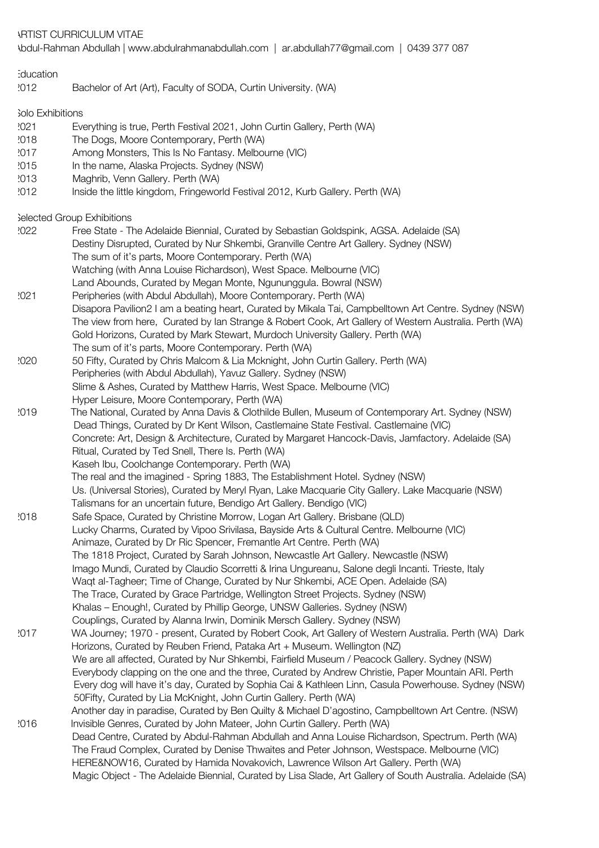ARTIST CURRICULUM VITAE

Abdul-Rahman Abdullah | www.abdulrahmanabdullah.com | ar.abdullah77@gmail.com | 0439 377 087

| Education<br>2012          | Bachelor of Art (Art), Faculty of SODA, Curtin University. (WA)                                                                                                                                                 |  |
|----------------------------|-----------------------------------------------------------------------------------------------------------------------------------------------------------------------------------------------------------------|--|
| <b>Solo Exhibitions</b>    |                                                                                                                                                                                                                 |  |
| .021                       | Everything is true, Perth Festival 2021, John Curtin Gallery, Perth (WA)                                                                                                                                        |  |
| 2018                       | The Dogs, Moore Contemporary, Perth (WA)                                                                                                                                                                        |  |
| 2017                       | Among Monsters, This Is No Fantasy. Melbourne (VIC)                                                                                                                                                             |  |
| 2015                       | In the name, Alaska Projects. Sydney (NSW)                                                                                                                                                                      |  |
| 2013                       | Maghrib, Venn Gallery. Perth (WA)                                                                                                                                                                               |  |
| 2012                       | Inside the little kingdom, Fringeworld Festival 2012, Kurb Gallery. Perth (WA)                                                                                                                                  |  |
| Selected Group Exhibitions |                                                                                                                                                                                                                 |  |
| :022                       | Free State - The Adelaide Biennial, Curated by Sebastian Goldspink, AGSA. Adelaide (SA)                                                                                                                         |  |
|                            | Destiny Disrupted, Curated by Nur Shkembi, Granville Centre Art Gallery. Sydney (NSW)                                                                                                                           |  |
|                            | The sum of it's parts, Moore Contemporary. Perth (WA)                                                                                                                                                           |  |
|                            | Watching (with Anna Louise Richardson), West Space. Melbourne (VIC)                                                                                                                                             |  |
|                            | Land Abounds, Curated by Megan Monte, Ngununggula. Bowral (NSW)                                                                                                                                                 |  |
| .021                       | Peripheries (with Abdul Abdullah), Moore Contemporary. Perth (WA)                                                                                                                                               |  |
|                            | Disapora Pavilion2 I am a beating heart, Curated by Mikala Tai, Campbelltown Art Centre. Sydney (NSW)<br>The view from here, Curated by Ian Strange & Robert Cook, Art Gallery of Western Australia. Perth (WA) |  |
|                            | Gold Horizons, Curated by Mark Stewart, Murdoch University Gallery. Perth (WA)                                                                                                                                  |  |
|                            | The sum of it's parts, Moore Contemporary. Perth (WA)                                                                                                                                                           |  |
| :020                       | 50 Fifty, Curated by Chris Malcom & Lia Mcknight, John Curtin Gallery. Perth (WA)                                                                                                                               |  |
|                            | Peripheries (with Abdul Abdullah), Yavuz Gallery. Sydney (NSW)                                                                                                                                                  |  |
|                            | Slime & Ashes, Curated by Matthew Harris, West Space. Melbourne (VIC)                                                                                                                                           |  |
|                            | Hyper Leisure, Moore Contemporary, Perth (WA)                                                                                                                                                                   |  |
| 2019                       | The National, Curated by Anna Davis & Clothilde Bullen, Museum of Contemporary Art. Sydney (NSW)                                                                                                                |  |
|                            | Dead Things, Curated by Dr Kent Wilson, Castlemaine State Festival. Castlemaine (VIC)                                                                                                                           |  |
|                            | Concrete: Art, Design & Architecture, Curated by Margaret Hancock-Davis, Jamfactory. Adelaide (SA)                                                                                                              |  |
|                            | Ritual, Curated by Ted Snell, There Is. Perth (WA)                                                                                                                                                              |  |
|                            | Kaseh Ibu, Coolchange Contemporary. Perth (WA)                                                                                                                                                                  |  |
|                            | The real and the imagined - Spring 1883, The Establishment Hotel. Sydney (NSW)                                                                                                                                  |  |
|                            | Us. (Universal Stories), Curated by Meryl Ryan, Lake Macquarie City Gallery. Lake Macquarie (NSW)                                                                                                               |  |
|                            | Talismans for an uncertain future, Bendigo Art Gallery. Bendigo (VIC)                                                                                                                                           |  |
| 2018                       | Safe Space, Curated by Christine Morrow, Logan Art Gallery. Brisbane (QLD)                                                                                                                                      |  |
|                            | Lucky Charms, Curated by Vipoo Srivilasa, Bayside Arts & Cultural Centre. Melbourne (VIC)                                                                                                                       |  |
|                            | Animaze, Curated by Dr Ric Spencer, Fremantle Art Centre. Perth (WA)                                                                                                                                            |  |
|                            | The 1818 Project, Curated by Sarah Johnson, Newcastle Art Gallery. Newcastle (NSW)                                                                                                                              |  |
|                            | Imago Mundi, Curated by Claudio Scorretti & Irina Ungureanu, Salone degli Incanti. Trieste, Italy<br>Waqt al-Tagheer; Time of Change, Curated by Nur Shkembi, ACE Open. Adelaide (SA)                           |  |
|                            | The Trace, Curated by Grace Partridge, Wellington Street Projects. Sydney (NSW)                                                                                                                                 |  |
|                            | Khalas - Enough!, Curated by Phillip George, UNSW Galleries. Sydney (NSW)                                                                                                                                       |  |
|                            | Couplings, Curated by Alanna Irwin, Dominik Mersch Gallery. Sydney (NSW)                                                                                                                                        |  |
| 2017                       | WA Journey; 1970 - present, Curated by Robert Cook, Art Gallery of Western Australia. Perth (WA) Dark                                                                                                           |  |
|                            | Horizons, Curated by Reuben Friend, Pataka Art + Museum. Wellington (NZ)                                                                                                                                        |  |
|                            | We are all affected, Curated by Nur Shkembi, Fairfield Museum / Peacock Gallery. Sydney (NSW)                                                                                                                   |  |
|                            | Everybody clapping on the one and the three, Curated by Andrew Christie, Paper Mountain ARI. Perth                                                                                                              |  |
|                            | Every dog will have it's day, Curated by Sophia Cai & Kathleen Linn, Casula Powerhouse. Sydney (NSW)                                                                                                            |  |
|                            | 50 Fifty, Curated by Lia McKnight, John Curtin Gallery. Perth (WA)                                                                                                                                              |  |
|                            | Another day in paradise, Curated by Ben Quilty & Michael D'agostino, Campbelltown Art Centre. (NSW)                                                                                                             |  |
| 2016                       | Invisible Genres, Curated by John Mateer, John Curtin Gallery. Perth (WA)                                                                                                                                       |  |
|                            | Dead Centre, Curated by Abdul-Rahman Abdullah and Anna Louise Richardson, Spectrum. Perth (WA)                                                                                                                  |  |
|                            | The Fraud Complex, Curated by Denise Thwaites and Peter Johnson, Westspace. Melbourne (VIC)                                                                                                                     |  |
|                            | HERE&NOW16, Curated by Hamida Novakovich, Lawrence Wilson Art Gallery. Perth (WA)                                                                                                                               |  |
|                            | Magic Object - The Adelaide Biennial, Curated by Lisa Slade, Art Gallery of South Australia. Adelaide (SA)                                                                                                      |  |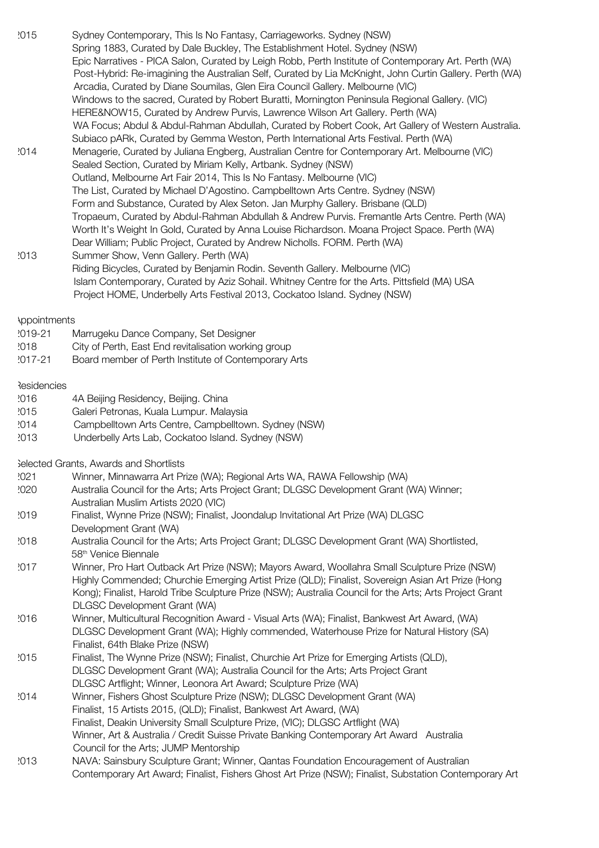| .U I U              | Oyuney Contentibulary, This is NOT antasy, Camageworks. Oyuney (NOW)                                    |  |
|---------------------|---------------------------------------------------------------------------------------------------------|--|
|                     | Spring 1883, Curated by Dale Buckley, The Establishment Hotel. Sydney (NSW)                             |  |
|                     | Epic Narratives - PICA Salon, Curated by Leigh Robb, Perth Institute of Contemporary Art. Perth (WA)    |  |
|                     | Post-Hybrid: Re-imagining the Australian Self, Curated by Lia McKnight, John Curtin Gallery. Perth (WA) |  |
|                     | Arcadia, Curated by Diane Soumilas, Glen Eira Council Gallery. Melbourne (VIC)                          |  |
|                     | Windows to the sacred, Curated by Robert Buratti, Mornington Peninsula Regional Gallery. (VIC)          |  |
|                     | HERE&NOW15, Curated by Andrew Purvis, Lawrence Wilson Art Gallery. Perth (WA)                           |  |
|                     | WA Focus; Abdul & Abdul-Rahman Abdullah, Curated by Robert Cook, Art Gallery of Western Australia.      |  |
|                     | Subiaco pARk, Curated by Gemma Weston, Perth International Arts Festival. Perth (WA)                    |  |
| 2014                | Menagerie, Curated by Juliana Engberg, Australian Centre for Contemporary Art. Melbourne (VIC)          |  |
|                     | Sealed Section, Curated by Miriam Kelly, Artbank. Sydney (NSW)                                          |  |
|                     | Outland, Melbourne Art Fair 2014, This Is No Fantasy. Melbourne (VIC)                                   |  |
|                     | The List, Curated by Michael D'Agostino. Campbelltown Arts Centre. Sydney (NSW)                         |  |
|                     | Form and Substance, Curated by Alex Seton. Jan Murphy Gallery. Brisbane (QLD)                           |  |
|                     | Tropaeum, Curated by Abdul-Rahman Abdullah & Andrew Purvis. Fremantle Arts Centre. Perth (WA)           |  |
|                     | Worth It's Weight In Gold, Curated by Anna Louise Richardson. Moana Project Space. Perth (WA)           |  |
|                     | Dear William; Public Project, Curated by Andrew Nicholls. FORM. Perth (WA)                              |  |
| 2013                | Summer Show, Venn Gallery. Perth (WA)                                                                   |  |
|                     | Riding Bicycles, Curated by Benjamin Rodin. Seventh Gallery. Melbourne (VIC)                            |  |
|                     | Islam Contemporary, Curated by Aziz Sohail. Whitney Centre for the Arts. Pittsfield (MA) USA            |  |
|                     | Project HOME, Underbelly Arts Festival 2013, Cockatoo Island. Sydney (NSW)                              |  |
|                     |                                                                                                         |  |
| <b>Appointments</b> |                                                                                                         |  |

2015 Sydney Contemporary, This Is No Fantasy, Carriageworks. Sydney (NSW)

- 2019-21 Marrugeku Dance Company, Set Designer
- 2018 City of Perth, East End revitalisation working group
- 2017-21 Board member of Perth Institute of Contemporary Arts

## **Residencies**

- 2016 4A Beijing Residency, Beijing. China
- 2015 Galeri Petronas, Kuala Lumpur. Malaysia
- 2014 Campbelltown Arts Centre, Campbelltown. Sydney (NSW)
- 2013 Underbelly Arts Lab, Cockatoo Island. Sydney (NSW)

Selected Grants, Awards and Shortlists

- 2021 Winner, Minnawarra Art Prize (WA); Regional Arts WA, RAWA Fellowship (WA)
- 2020 Australia Council for the Arts; Arts Project Grant; DLGSC Development Grant (WA) Winner; Australian Muslim Artists 2020 (VIC)
- 2019 Finalist, Wynne Prize (NSW); Finalist, Joondalup Invitational Art Prize (WA) DLGSC Development Grant (WA)
- 2018 Australia Council for the Arts; Arts Project Grant; DLGSC Development Grant (WA) Shortlisted, 58th Venice Biennale
- 2017 Winner, Pro Hart Outback Art Prize (NSW); Mayors Award, Woollahra Small Sculpture Prize (NSW) Highly Commended; Churchie Emerging Artist Prize (QLD); Finalist, Sovereign Asian Art Prize (Hong Kong); Finalist, Harold Tribe Sculpture Prize (NSW); Australia Council for the Arts; Arts Project Grant DLGSC Development Grant (WA)
- 2016 Winner, Multicultural Recognition Award Visual Arts (WA); Finalist, Bankwest Art Award, (WA) DLGSC Development Grant (WA); Highly commended, Waterhouse Prize for Natural History (SA) Finalist, 64th Blake Prize (NSW)
- 2015 Finalist, The Wynne Prize (NSW); Finalist, Churchie Art Prize for Emerging Artists (QLD), DLGSC Development Grant (WA); Australia Council for the Arts; Arts Project Grant DLGSC Artflight; Winner, Leonora Art Award; Sculpture Prize (WA)
- 2014 Winner, Fishers Ghost Sculpture Prize (NSW); DLGSC Development Grant (WA) Finalist, 15 Artists 2015, (QLD); Finalist, Bankwest Art Award, (WA) Finalist, Deakin University Small Sculpture Prize, (VIC); DLGSC Artflight (WA) Winner, Art & Australia / Credit Suisse Private Banking Contemporary Art Award Australia Council for the Arts; JUMP Mentorship
- 2013 NAVA: Sainsbury Sculpture Grant; Winner, Qantas Foundation Encouragement of Australian Contemporary Art Award; Finalist, Fishers Ghost Art Prize (NSW); Finalist, Substation Contemporary Art